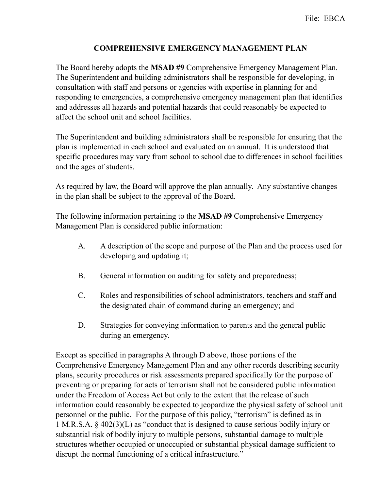## **COMPREHENSIVE EMERGENCY MANAGEMENT PLAN**

The Board hereby adopts the **MSAD #9** Comprehensive Emergency Management Plan. The Superintendent and building administrators shall be responsible for developing, in consultation with staff and persons or agencies with expertise in planning for and responding to emergencies, a comprehensive emergency management plan that identifies and addresses all hazards and potential hazards that could reasonably be expected to affect the school unit and school facilities.

The Superintendent and building administrators shall be responsible for ensuring that the plan is implemented in each school and evaluated on an annual.It is understood that specific procedures may vary from school to school due to differences in school facilities and the ages of students.

As required by law, the Board will approve the plan annually. Any substantive changes in the plan shall be subject to the approval of the Board.

The following information pertaining to the **MSAD #9** Comprehensive Emergency Management Plan is considered public information:

- A. A description of the scope and purpose of the Plan and the process used for developing and updating it;
- B. General information on auditing for safety and preparedness;
- C. Roles and responsibilities of school administrators, teachers and staff and the designated chain of command during an emergency; and
- D. Strategies for conveying information to parents and the general public during an emergency.

Except as specified in paragraphs A through D above, those portions of the Comprehensive Emergency Management Plan and any other records describing security plans, security procedures or risk assessments prepared specifically for the purpose of preventing or preparing for acts of terrorism shall not be considered public information under the Freedom of Access Act but only to the extent that the release of such information could reasonably be expected to jeopardize the physical safety of school unit personnel or the public. For the purpose of this policy, "terrorism" is defined as in 1 M.R.S.A. § 402(3)(L) as "conduct that is designed to cause serious bodily injury or substantial risk of bodily injury to multiple persons, substantial damage to multiple structures whether occupied or unoccupied or substantial physical damage sufficient to disrupt the normal functioning of a critical infrastructure."